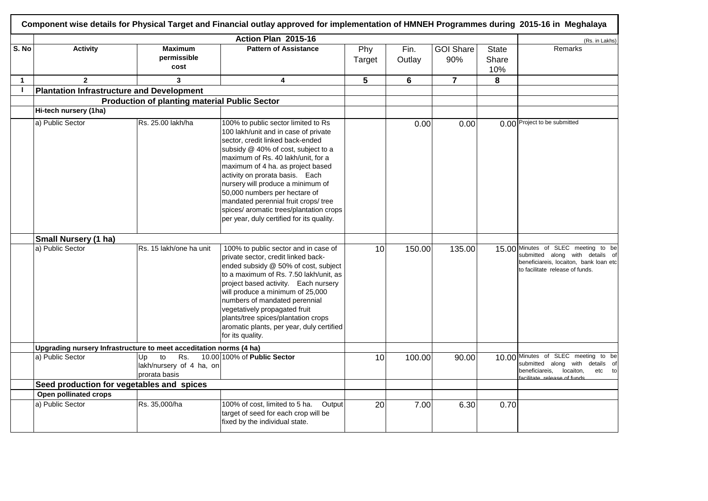|                          |                                                                    |                                                              | Action Plan 2015-16                                                                                                                                                                                                                                                                                                                                                                                                                                                        |               |                |                         |                       | (Rs. in Lakhs)                                                                                                                                      |
|--------------------------|--------------------------------------------------------------------|--------------------------------------------------------------|----------------------------------------------------------------------------------------------------------------------------------------------------------------------------------------------------------------------------------------------------------------------------------------------------------------------------------------------------------------------------------------------------------------------------------------------------------------------------|---------------|----------------|-------------------------|-----------------------|-----------------------------------------------------------------------------------------------------------------------------------------------------|
| S. No                    | <b>Activity</b>                                                    | <b>Maximum</b><br>permissible<br>cost                        | <b>Pattern of Assistance</b>                                                                                                                                                                                                                                                                                                                                                                                                                                               | Phy<br>Target | Fin.<br>Outlay | <b>GOI Share</b><br>90% | State<br>Share<br>10% | Remarks                                                                                                                                             |
| $\mathbf{1}$             | $\mathbf{2}$                                                       | 3                                                            | 4                                                                                                                                                                                                                                                                                                                                                                                                                                                                          | 5             | $6\phantom{1}$ | $\overline{7}$          | 8                     |                                                                                                                                                     |
| $\overline{\phantom{a}}$ | <b>Plantation Infrastructure and Development</b>                   |                                                              |                                                                                                                                                                                                                                                                                                                                                                                                                                                                            |               |                |                         |                       |                                                                                                                                                     |
|                          |                                                                    | <b>Production of planting material Public Sector</b>         |                                                                                                                                                                                                                                                                                                                                                                                                                                                                            |               |                |                         |                       |                                                                                                                                                     |
|                          | Hi-tech nursery (1ha)                                              |                                                              |                                                                                                                                                                                                                                                                                                                                                                                                                                                                            |               |                |                         |                       |                                                                                                                                                     |
|                          | a) Public Sector                                                   | Rs. 25.00 lakh/ha                                            | 100% to public sector limited to Rs<br>100 lakh/unit and in case of private<br>sector, credit linked back-ended<br>subsidy @ 40% of cost, subject to a<br>maximum of Rs. 40 lakh/unit, for a<br>maximum of 4 ha. as project based<br>activity on prorata basis. Each<br>nursery will produce a minimum of<br>50,000 numbers per hectare of<br>mandated perennial fruit crops/ tree<br>spices/ aromatic trees/plantation crops<br>per year, duly certified for its quality. |               | 0.00           | 0.00                    |                       | 0.00 Project to be submitted                                                                                                                        |
|                          | <b>Small Nursery (1 ha)</b>                                        |                                                              |                                                                                                                                                                                                                                                                                                                                                                                                                                                                            |               |                |                         |                       |                                                                                                                                                     |
|                          | a) Public Sector                                                   | Rs. 15 lakh/one ha unit                                      | 100% to public sector and in case of<br>private sector, credit linked back-<br>ended subsidy @ 50% of cost, subject<br>to a maximum of Rs. 7.50 lakh/unit, as<br>project based activity. Each nursery<br>will produce a minimum of 25,000<br>numbers of mandated perennial<br>vegetatively propagated fruit<br>plants/tree spices/plantation crops<br>aromatic plants, per year, duly certified<br>for its quality.                                                        | 10            | 150.00         | 135.00                  |                       | 15.00 Minutes of SLEC meeting to be<br>submitted along with details of<br>beneficiareis, locaiton, bank loan etc<br>to facilitate release of funds. |
|                          | Upgrading nursery Infrastructure to meet acceditation norms (4 ha) |                                                              |                                                                                                                                                                                                                                                                                                                                                                                                                                                                            |               |                |                         |                       |                                                                                                                                                     |
|                          | a) Public Sector                                                   | to<br>Rs.<br>Up<br>lakh/nursery of 4 ha, on<br>prorata basis | 10.00 100% of Public Sector                                                                                                                                                                                                                                                                                                                                                                                                                                                | 10            | 100.00         | 90.00                   |                       | 10.00 Minutes of SLEC meeting to be<br>submitted along with details of<br>beneficiareis,<br>locaiton,<br>etc<br>to<br>acilitate release of funds    |
|                          | Seed production for vegetables and spices                          |                                                              |                                                                                                                                                                                                                                                                                                                                                                                                                                                                            |               |                |                         |                       |                                                                                                                                                     |
|                          | Open pollinated crops                                              |                                                              |                                                                                                                                                                                                                                                                                                                                                                                                                                                                            |               |                |                         |                       |                                                                                                                                                     |
|                          | a) Public Sector                                                   | Rs. 35,000/ha                                                | 100% of cost, limited to 5 ha.<br>Output<br>target of seed for each crop will be<br>fixed by the individual state.                                                                                                                                                                                                                                                                                                                                                         | 20            | 7.00           | 6.30                    | 0.70                  |                                                                                                                                                     |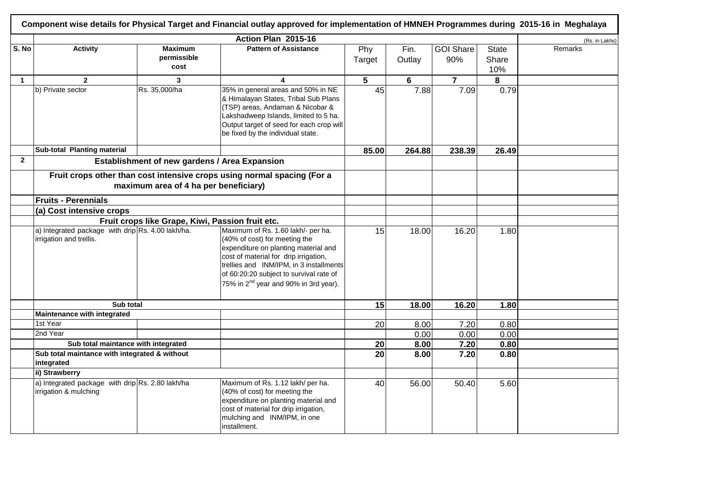|                |                                                                              |                                               | Action Plan 2015-16                                                                                                                                                                                                                                                                             |                 |                |                         |                              | (Rs. in Lakhs) |
|----------------|------------------------------------------------------------------------------|-----------------------------------------------|-------------------------------------------------------------------------------------------------------------------------------------------------------------------------------------------------------------------------------------------------------------------------------------------------|-----------------|----------------|-------------------------|------------------------------|----------------|
| S. No          | <b>Activity</b>                                                              | <b>Maximum</b><br>permissible<br>cost         | <b>Pattern of Assistance</b>                                                                                                                                                                                                                                                                    | Phy<br>Target   | Fin.<br>Outlay | <b>GOI Share</b><br>90% | <b>State</b><br>Share<br>10% | Remarks        |
| $\mathbf{1}$   | $\overline{2}$                                                               | 3                                             | 4                                                                                                                                                                                                                                                                                               | 5               | 6              | $\overline{7}$          | 8                            |                |
|                | b) Private sector                                                            | Rs. 35,000/ha                                 | 35% in general areas and 50% in NE<br>& Himalayan States, Tribal Sub Plans<br>(TSP) areas, Andaman & Nicobar &<br>Lakshadweep Islands, limited to 5 ha.<br>Output target of seed for each crop will<br>be fixed by the individual state.                                                        | $\overline{45}$ | 7.88           | 7.09                    | 0.79                         |                |
|                | Sub-total Planting material                                                  |                                               |                                                                                                                                                                                                                                                                                                 | 85.00           | 264.88         | 238.39                  | 26.49                        |                |
| $\overline{2}$ |                                                                              | Establishment of new gardens / Area Expansion |                                                                                                                                                                                                                                                                                                 |                 |                |                         |                              |                |
|                |                                                                              | maximum area of 4 ha per beneficiary)         | Fruit crops other than cost intensive crops using normal spacing (For a                                                                                                                                                                                                                         |                 |                |                         |                              |                |
|                | <b>Fruits - Perennials</b>                                                   |                                               |                                                                                                                                                                                                                                                                                                 |                 |                |                         |                              |                |
|                | (a) Cost intensive crops                                                     |                                               |                                                                                                                                                                                                                                                                                                 |                 |                |                         |                              |                |
|                | Fruit crops like Grape, Kiwi, Passion fruit etc.                             |                                               |                                                                                                                                                                                                                                                                                                 |                 |                |                         |                              |                |
|                | a) Integrated package with drip Rs. 4.00 lakh/ha.<br>irrigation and trellis. |                                               | Maximum of Rs. 1.60 lakh/- per ha.<br>(40% of cost) for meeting the<br>expenditure on planting material and<br>cost of material for drip irrigation,<br>trellies and INM/IPM, in 3 installments<br>of 60:20:20 subject to survival rate of<br>75% in 2 <sup>nd</sup> year and 90% in 3rd year). | 15              | 18.00          | 16.20                   | 1.80                         |                |
|                | Sub total                                                                    |                                               |                                                                                                                                                                                                                                                                                                 | 15              | 18.00          | 16.20                   | 1.80                         |                |
|                | Maintenance with integrated                                                  |                                               |                                                                                                                                                                                                                                                                                                 |                 |                |                         |                              |                |
|                | 1st Year                                                                     |                                               |                                                                                                                                                                                                                                                                                                 | 20              | 8.00           | 7.20                    | 0.80                         |                |
|                | 2nd Year<br>Sub total maintance with integrated                              |                                               |                                                                                                                                                                                                                                                                                                 |                 | 0.00           | 0.00                    | 0.00                         |                |
|                | Sub total maintance with integrated & without                                |                                               |                                                                                                                                                                                                                                                                                                 | 20              | 8.00           | 7.20                    | 0.80                         |                |
|                | integrated                                                                   |                                               |                                                                                                                                                                                                                                                                                                 | 20              | 8.00           | 7.20                    | 0.80                         |                |
|                | ii) Strawberry                                                               |                                               |                                                                                                                                                                                                                                                                                                 |                 |                |                         |                              |                |
|                | a) Integrated package with drip Rs. 2.80 lakh/ha<br>irrigation & mulching    |                                               | Maximum of Rs. 1.12 lakh/ per ha.<br>(40% of cost) for meeting the<br>expenditure on planting material and<br>cost of material for drip irrigation,<br>mulching and INM/IPM, in one<br>installment.                                                                                             | 40              | 56.00          | 50.40                   | 5.60                         |                |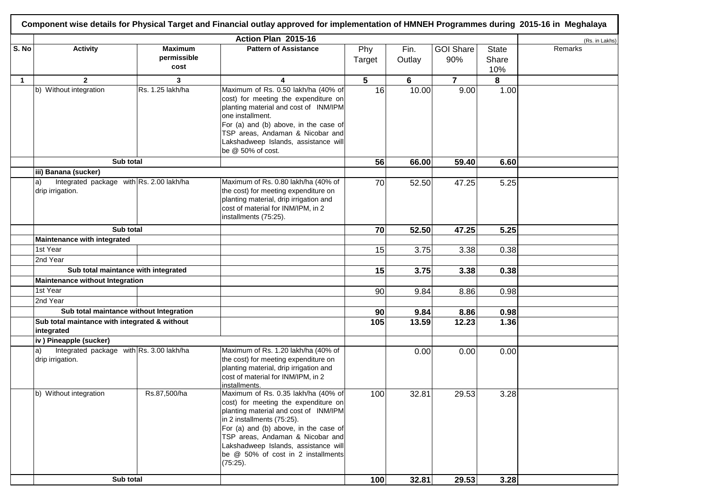|              | Component wise details for Physical Target and Financial outlay approved for implementation of HMNEH Programmes during 2015-16 in Meghalaya |                                       |                                                                                                                                                                                                                                                                                                                           |                 |                |                         |                              |                |  |  |  |
|--------------|---------------------------------------------------------------------------------------------------------------------------------------------|---------------------------------------|---------------------------------------------------------------------------------------------------------------------------------------------------------------------------------------------------------------------------------------------------------------------------------------------------------------------------|-----------------|----------------|-------------------------|------------------------------|----------------|--|--|--|
|              |                                                                                                                                             |                                       | Action Plan 2015-16                                                                                                                                                                                                                                                                                                       |                 |                |                         |                              | (Rs. in Lakhs) |  |  |  |
| S. No        | <b>Activity</b>                                                                                                                             | <b>Maximum</b><br>permissible<br>cost | <b>Pattern of Assistance</b>                                                                                                                                                                                                                                                                                              | Phy<br>Target   | Fin.<br>Outlay | <b>GOI Share</b><br>90% | <b>State</b><br>Share<br>10% | Remarks        |  |  |  |
| $\mathbf{1}$ | $\overline{2}$                                                                                                                              | 3                                     | 4                                                                                                                                                                                                                                                                                                                         | $5\phantom{.0}$ | 6              | $\overline{7}$          | 8                            |                |  |  |  |
|              | b) Without integration                                                                                                                      | Rs. 1.25 lakh/ha                      | Maximum of Rs. 0.50 lakh/ha (40% of<br>cost) for meeting the expenditure on<br>planting material and cost of INM/IPM<br>one installment.<br>For (a) and (b) above, in the case of<br>TSP areas, Andaman & Nicobar and<br>Lakshadweep Islands, assistance will<br>be @ 50% of cost.                                        | 16              | 10.00          | 9.00                    | 1.00                         |                |  |  |  |
|              | Sub total                                                                                                                                   |                                       |                                                                                                                                                                                                                                                                                                                           | 56              | 66.00          | 59.40                   | 6.60                         |                |  |  |  |
|              | iii) Banana (sucker)<br>Integrated package with Rs. 2.00 lakh/ha<br>drip irrigation.                                                        |                                       | Maximum of Rs. 0.80 lakh/ha (40% of<br>the cost) for meeting expenditure on<br>planting material, drip irrigation and<br>cost of material for INM/IPM, in 2<br>installments (75:25).                                                                                                                                      | 70              | 52.50          | 47.25                   | 5.25                         |                |  |  |  |
|              | Sub total                                                                                                                                   |                                       |                                                                                                                                                                                                                                                                                                                           | 70              | 52.50          | 47.25                   | 5.25                         |                |  |  |  |
|              | Maintenance with integrated                                                                                                                 |                                       |                                                                                                                                                                                                                                                                                                                           |                 |                |                         |                              |                |  |  |  |
|              | 1st Year                                                                                                                                    |                                       |                                                                                                                                                                                                                                                                                                                           | 15              | 3.75           | 3.38                    | 0.38                         |                |  |  |  |
|              | 2nd Year                                                                                                                                    |                                       |                                                                                                                                                                                                                                                                                                                           |                 |                |                         |                              |                |  |  |  |
|              | Sub total maintance with integrated                                                                                                         |                                       |                                                                                                                                                                                                                                                                                                                           | 15              | 3.75           | 3.38                    | 0.38                         |                |  |  |  |
|              | <b>Maintenance without Integration</b>                                                                                                      |                                       |                                                                                                                                                                                                                                                                                                                           |                 |                |                         |                              |                |  |  |  |
|              | 1st Year                                                                                                                                    |                                       |                                                                                                                                                                                                                                                                                                                           | 90              | 9.84           | 8.86                    | 0.98                         |                |  |  |  |
|              | 2nd Year                                                                                                                                    |                                       |                                                                                                                                                                                                                                                                                                                           |                 |                |                         |                              |                |  |  |  |
|              | Sub total maintance without Integration                                                                                                     |                                       |                                                                                                                                                                                                                                                                                                                           | 90              | 9.84           | 8.86                    | 0.98                         |                |  |  |  |
|              | Sub total maintance with integrated & without<br>integrated                                                                                 |                                       |                                                                                                                                                                                                                                                                                                                           | 105             | 13.59          | 12.23                   | 1.36                         |                |  |  |  |
|              | iv) Pineapple (sucker)                                                                                                                      |                                       |                                                                                                                                                                                                                                                                                                                           |                 |                |                         |                              |                |  |  |  |
|              | Integrated package with Rs. 3.00 lakh/ha<br>la)<br>drip irrigation.                                                                         |                                       | Maximum of Rs. 1.20 lakh/ha (40% of<br>the cost) for meeting expenditure on<br>planting material, drip irrigation and<br>cost of material for INM/IPM, in 2<br>installments.                                                                                                                                              |                 | 0.00           | 0.00                    | 0.00                         |                |  |  |  |
|              | b) Without integration                                                                                                                      | Rs.87,500/ha                          | Maximum of Rs. 0.35 lakh/ha (40% of<br>cost) for meeting the expenditure on<br>planting material and cost of INM/IPM<br>in 2 installments (75:25).<br>For (a) and (b) above, in the case of<br>TSP areas, Andaman & Nicobar and<br>Lakshadweep Islands, assistance will<br>be @ 50% of cost in 2 installments<br>(75:25). | 100             | 32.81          | 29.53                   | 3.28                         |                |  |  |  |
|              | Sub total                                                                                                                                   |                                       |                                                                                                                                                                                                                                                                                                                           | 100             | 32.81          | 29.53                   | 3.28                         |                |  |  |  |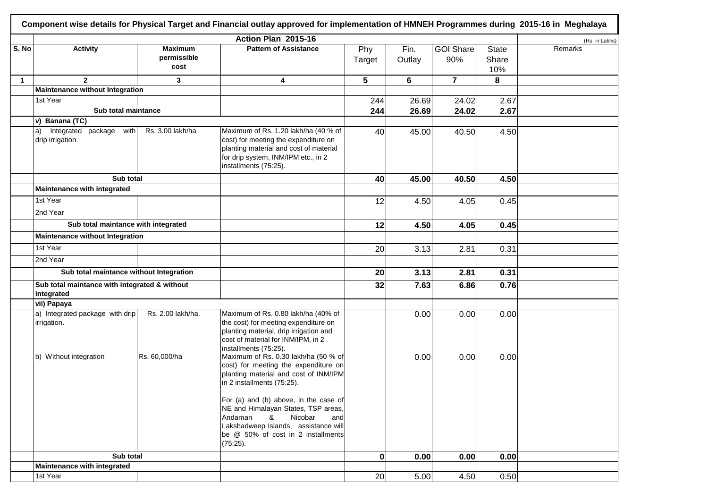|              |                                                             |                                       | Action Plan 2015-16                                                                                                                                                                                                                                                                                                                                                |               |                |                         |                              | (Rs. in Lakhs) |
|--------------|-------------------------------------------------------------|---------------------------------------|--------------------------------------------------------------------------------------------------------------------------------------------------------------------------------------------------------------------------------------------------------------------------------------------------------------------------------------------------------------------|---------------|----------------|-------------------------|------------------------------|----------------|
| S. No        | <b>Activity</b>                                             | <b>Maximum</b><br>permissible<br>cost | <b>Pattern of Assistance</b>                                                                                                                                                                                                                                                                                                                                       | Phy<br>Target | Fin.<br>Outlay | <b>GOI Share</b><br>90% | <b>State</b><br>Share<br>10% | Remarks        |
| $\mathbf{1}$ | $\mathbf{2}$                                                | 3                                     | 4                                                                                                                                                                                                                                                                                                                                                                  | 5             | 6              | $\overline{7}$          | 8                            |                |
|              | Maintenance without Integration                             |                                       |                                                                                                                                                                                                                                                                                                                                                                    |               |                |                         |                              |                |
|              | 1st Year                                                    |                                       |                                                                                                                                                                                                                                                                                                                                                                    | 244           | 26.69          | 24.02                   | 2.67                         |                |
|              | Sub total maintance                                         |                                       |                                                                                                                                                                                                                                                                                                                                                                    | 244           | 26.69          | 24.02                   | 2.67                         |                |
|              | v) Banana (TC)                                              |                                       |                                                                                                                                                                                                                                                                                                                                                                    |               |                |                         |                              |                |
|              | Integrated package with<br>$ a\rangle$<br>drip irrigation.  | Rs. 3.00 lakh/ha                      | Maximum of Rs. 1.20 lakh/ha (40 % of<br>cost) for meeting the expenditure on<br>planting material and cost of material<br>for drip system, INM/IPM etc., in 2<br>installments (75:25).                                                                                                                                                                             | 40            | 45.00          | 40.50                   | 4.50                         |                |
|              | Sub total                                                   |                                       |                                                                                                                                                                                                                                                                                                                                                                    | 40            | 45.00          | 40.50                   | 4.50                         |                |
|              | Maintenance with integrated                                 |                                       |                                                                                                                                                                                                                                                                                                                                                                    |               |                |                         |                              |                |
|              | 1st Year                                                    |                                       |                                                                                                                                                                                                                                                                                                                                                                    | 12            | 4.50           | 4.05                    | 0.45                         |                |
|              | 2nd Year                                                    |                                       |                                                                                                                                                                                                                                                                                                                                                                    |               |                |                         |                              |                |
|              | Sub total maintance with integrated                         |                                       |                                                                                                                                                                                                                                                                                                                                                                    | 12            | 4.50           | 4.05                    | 0.45                         |                |
|              | <b>Maintenance without Integration</b>                      |                                       |                                                                                                                                                                                                                                                                                                                                                                    |               |                |                         |                              |                |
|              | 1st Year                                                    |                                       |                                                                                                                                                                                                                                                                                                                                                                    | 20            | 3.13           | 2.81                    | 0.31                         |                |
|              | 2nd Year                                                    |                                       |                                                                                                                                                                                                                                                                                                                                                                    |               |                |                         |                              |                |
|              | Sub total maintance without Integration                     |                                       |                                                                                                                                                                                                                                                                                                                                                                    | 20            | 3.13           | 2.81                    | 0.31                         |                |
|              | Sub total maintance with integrated & without<br>integrated |                                       |                                                                                                                                                                                                                                                                                                                                                                    | 32            | 7.63           | 6.86                    | 0.76                         |                |
|              | vii) Papaya                                                 |                                       |                                                                                                                                                                                                                                                                                                                                                                    |               |                |                         |                              |                |
|              | a) Integrated package with drip<br>irrigation.              | Rs. 2.00 lakh/ha.                     | Maximum of Rs. 0.80 lakh/ha (40% of<br>the cost) for meeting expenditure on<br>planting material, drip irrigation and<br>cost of material for INM/IPM, in 2<br>installments (75:25).                                                                                                                                                                               |               | 0.00           | 0.00                    | 0.00                         |                |
|              | b) Without integration                                      | Rs. 60,000/ha                         | Maximum of Rs. 0.30 lakh/ha (50 % of<br>cost) for meeting the expenditure on<br>planting material and cost of INM/IPM<br>in 2 installments (75:25).<br>For (a) and (b) above, in the case of<br>NE and Himalayan States, TSP areas,<br>Andaman<br>Nicobar<br>&<br>and<br>Lakshadweep Islands, assistance will<br>be @ 50% of cost in 2 installments<br>$(75:25)$ . |               | 0.00           | 0.00                    | 0.00                         |                |
|              | Sub total                                                   |                                       | 0                                                                                                                                                                                                                                                                                                                                                                  | 0.00          | 0.00           | 0.00                    |                              |                |
|              | Maintenance with integrated                                 |                                       |                                                                                                                                                                                                                                                                                                                                                                    |               |                |                         |                              |                |
|              | 1st Year                                                    |                                       |                                                                                                                                                                                                                                                                                                                                                                    | 20            | 5.00           | 4.50                    | 0.50                         |                |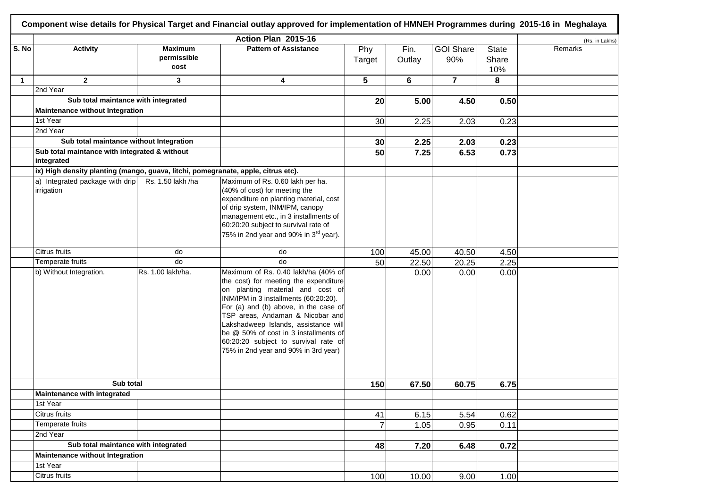|             | Component wise details for Physical Target and Financial outlay approved for implementation of HMNEH Programmes during 2015-16 in Meghalaya |                                       |                                                                                                                                                                                                                                                                                                                                                                                                         |                 |                |                         |                              |                |  |  |  |
|-------------|---------------------------------------------------------------------------------------------------------------------------------------------|---------------------------------------|---------------------------------------------------------------------------------------------------------------------------------------------------------------------------------------------------------------------------------------------------------------------------------------------------------------------------------------------------------------------------------------------------------|-----------------|----------------|-------------------------|------------------------------|----------------|--|--|--|
|             |                                                                                                                                             |                                       | Action Plan 2015-16                                                                                                                                                                                                                                                                                                                                                                                     |                 |                |                         |                              | (Rs. in Lakhs) |  |  |  |
| S. No       | <b>Activity</b>                                                                                                                             | <b>Maximum</b><br>permissible<br>cost | <b>Pattern of Assistance</b>                                                                                                                                                                                                                                                                                                                                                                            | Phy<br>Target   | Fin.<br>Outlay | <b>GOI Share</b><br>90% | <b>State</b><br>Share<br>10% | Remarks        |  |  |  |
| $\mathbf 1$ | $\mathbf{2}$                                                                                                                                | 3                                     | 4                                                                                                                                                                                                                                                                                                                                                                                                       | 5               | 6              | $\overline{7}$          | 8                            |                |  |  |  |
|             | 2nd Year                                                                                                                                    |                                       |                                                                                                                                                                                                                                                                                                                                                                                                         |                 |                |                         |                              |                |  |  |  |
|             | Sub total maintance with integrated                                                                                                         |                                       |                                                                                                                                                                                                                                                                                                                                                                                                         | 20 <sub>l</sub> | 5.00           | 4.50                    | 0.50                         |                |  |  |  |
|             | Maintenance without Integration                                                                                                             |                                       |                                                                                                                                                                                                                                                                                                                                                                                                         |                 |                |                         |                              |                |  |  |  |
|             | 1st Year                                                                                                                                    |                                       |                                                                                                                                                                                                                                                                                                                                                                                                         | 30              | 2.25           | 2.03                    | 0.23                         |                |  |  |  |
|             | 2nd Year                                                                                                                                    |                                       |                                                                                                                                                                                                                                                                                                                                                                                                         |                 |                |                         |                              |                |  |  |  |
|             | Sub total maintance without Integration                                                                                                     |                                       |                                                                                                                                                                                                                                                                                                                                                                                                         | 30 <sub>1</sub> | 2.25           | 2.03                    | 0.23                         |                |  |  |  |
|             | Sub total maintance with integrated & without<br>integrated                                                                                 |                                       |                                                                                                                                                                                                                                                                                                                                                                                                         | 50              | 7.25           | 6.53                    | 0.73                         |                |  |  |  |
|             | ix) High density planting (mango, guava, litchi, pomegranate, apple, citrus etc).                                                           |                                       |                                                                                                                                                                                                                                                                                                                                                                                                         |                 |                |                         |                              |                |  |  |  |
|             | a) Integrated package with drip<br>irrigation                                                                                               | Rs. 1.50 lakh /ha                     | Maximum of Rs. 0.60 lakh per ha.<br>(40% of cost) for meeting the<br>expenditure on planting material, cost<br>of drip system, INM/IPM, canopy<br>management etc., in 3 installments of<br>60:20:20 subject to survival rate of<br>75% in 2nd year and 90% in 3 <sup>rd</sup> year).                                                                                                                    |                 |                |                         |                              |                |  |  |  |
|             | Citrus fruits                                                                                                                               | do                                    | do                                                                                                                                                                                                                                                                                                                                                                                                      | 100             | 45.00          | 40.50                   | 4.50                         |                |  |  |  |
|             | Temperate fruits                                                                                                                            | do                                    | do                                                                                                                                                                                                                                                                                                                                                                                                      | 50              | 22.50          | 20.25                   | 2.25                         |                |  |  |  |
|             | b) Without Integration.                                                                                                                     | Rs. 1.00 lakh/ha.                     | Maximum of Rs. 0.40 lakh/ha (40% of<br>the cost) for meeting the expenditure<br>on planting material and cost of<br>INM/IPM in 3 installments (60:20:20).<br>For (a) and (b) above, in the case of<br>TSP areas, Andaman & Nicobar and<br>Lakshadweep Islands, assistance will<br>be @ 50% of cost in 3 installments of<br>60:20:20 subject to survival rate of<br>75% in 2nd year and 90% in 3rd year) |                 | 0.00           | 0.00                    | 0.00                         |                |  |  |  |
|             | Sub total                                                                                                                                   |                                       |                                                                                                                                                                                                                                                                                                                                                                                                         | 150             | 67.50          | 60.75                   | 6.75                         |                |  |  |  |
|             | Maintenance with integrated                                                                                                                 |                                       |                                                                                                                                                                                                                                                                                                                                                                                                         |                 |                |                         |                              |                |  |  |  |
|             | 1st Year                                                                                                                                    |                                       |                                                                                                                                                                                                                                                                                                                                                                                                         |                 |                |                         |                              |                |  |  |  |
|             | Citrus fruits                                                                                                                               |                                       |                                                                                                                                                                                                                                                                                                                                                                                                         | 41              | 6.15           | 5.54                    | 0.62                         |                |  |  |  |
|             | Temperate fruits<br>2nd Year                                                                                                                |                                       |                                                                                                                                                                                                                                                                                                                                                                                                         | $\overline{7}$  | 1.05           | 0.95                    | 0.11                         |                |  |  |  |
|             |                                                                                                                                             |                                       |                                                                                                                                                                                                                                                                                                                                                                                                         |                 |                |                         |                              |                |  |  |  |
|             | Sub total maintance with integrated                                                                                                         |                                       |                                                                                                                                                                                                                                                                                                                                                                                                         | 48              | 7.20           | 6.48                    | 0.72                         |                |  |  |  |
|             | <b>Maintenance without Integration</b>                                                                                                      |                                       |                                                                                                                                                                                                                                                                                                                                                                                                         |                 |                |                         |                              |                |  |  |  |
|             | 1st Year                                                                                                                                    |                                       |                                                                                                                                                                                                                                                                                                                                                                                                         |                 |                |                         |                              |                |  |  |  |
|             | Citrus fruits                                                                                                                               |                                       |                                                                                                                                                                                                                                                                                                                                                                                                         | 100             | 10.00          | 9.00                    | 1.00                         |                |  |  |  |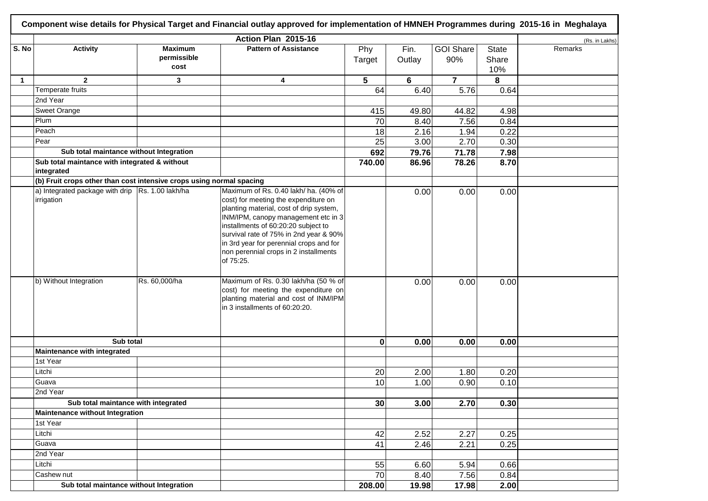|              | Component wise details for Physical Target and Financial outlay approved for implementation of HMNEH Programmes during 2015-16 in Meghalaya |                                       |                                                                                                                                                                                                                                                                                                                                                   |                 |                |                         |                              |                |  |  |  |
|--------------|---------------------------------------------------------------------------------------------------------------------------------------------|---------------------------------------|---------------------------------------------------------------------------------------------------------------------------------------------------------------------------------------------------------------------------------------------------------------------------------------------------------------------------------------------------|-----------------|----------------|-------------------------|------------------------------|----------------|--|--|--|
|              |                                                                                                                                             |                                       | Action Plan 2015-16                                                                                                                                                                                                                                                                                                                               |                 |                |                         |                              | (Rs. in Lakhs) |  |  |  |
| S. No        | <b>Activity</b>                                                                                                                             | <b>Maximum</b><br>permissible<br>cost | <b>Pattern of Assistance</b>                                                                                                                                                                                                                                                                                                                      | Phy<br>Target   | Fin.<br>Outlay | <b>GOI Share</b><br>90% | <b>State</b><br>Share<br>10% | Remarks        |  |  |  |
| $\mathbf{1}$ | $\overline{2}$                                                                                                                              | 3                                     | 4                                                                                                                                                                                                                                                                                                                                                 | 5               | 6              | $\overline{7}$          | 8                            |                |  |  |  |
|              | Temperate fruits                                                                                                                            |                                       |                                                                                                                                                                                                                                                                                                                                                   | 64              | 6.40           | 5.76                    | 0.64                         |                |  |  |  |
|              | 2nd Year                                                                                                                                    |                                       |                                                                                                                                                                                                                                                                                                                                                   |                 |                |                         |                              |                |  |  |  |
|              | Sweet Orange                                                                                                                                |                                       |                                                                                                                                                                                                                                                                                                                                                   | 415             | 49.80          | 44.82                   | 4.98                         |                |  |  |  |
|              | Plum                                                                                                                                        |                                       |                                                                                                                                                                                                                                                                                                                                                   | 70              | 8.40           | 7.56                    | 0.84                         |                |  |  |  |
|              | Peach                                                                                                                                       |                                       |                                                                                                                                                                                                                                                                                                                                                   | 18              | 2.16           | 1.94                    | 0.22                         |                |  |  |  |
|              | Pear                                                                                                                                        |                                       |                                                                                                                                                                                                                                                                                                                                                   | $\overline{25}$ | 3.00           | 2.70                    | 0.30                         |                |  |  |  |
|              | Sub total maintance without Integration                                                                                                     |                                       |                                                                                                                                                                                                                                                                                                                                                   | 692             | 79.76          | 71.78                   | 7.98                         |                |  |  |  |
|              | Sub total maintance with integrated & without<br>integrated                                                                                 |                                       |                                                                                                                                                                                                                                                                                                                                                   | 740.00          | 86.96          | 78.26                   | 8.70                         |                |  |  |  |
|              | (b) Fruit crops other than cost intensive crops using normal spacing                                                                        |                                       |                                                                                                                                                                                                                                                                                                                                                   |                 |                |                         |                              |                |  |  |  |
|              | a) Integrated package with drip Rs. 1.00 lakh/ha<br>irrigation                                                                              |                                       | Maximum of Rs. 0.40 lakh/ ha. (40% of<br>cost) for meeting the expenditure on<br>planting material, cost of drip system,<br>INM/IPM, canopy management etc in 3<br>installments of 60:20:20 subject to<br>survival rate of 75% in 2nd year & 90%<br>in 3rd year for perennial crops and for<br>non perennial crops in 2 installments<br>of 75:25. |                 | 0.00           | 0.00                    | 0.00                         |                |  |  |  |
|              | b) Without Integration                                                                                                                      | Rs. 60,000/ha                         | Maximum of Rs. 0.30 lakh/ha (50 % of<br>cost) for meeting the expenditure on<br>planting material and cost of INM/IPM<br>in 3 installments of 60:20:20.                                                                                                                                                                                           |                 | 0.00           | 0.00                    | 0.00                         |                |  |  |  |
|              | Sub total                                                                                                                                   |                                       |                                                                                                                                                                                                                                                                                                                                                   | $\bf{0}$        | 0.00           | 0.00                    | 0.00                         |                |  |  |  |
|              | Maintenance with integrated                                                                                                                 |                                       |                                                                                                                                                                                                                                                                                                                                                   |                 |                |                         |                              |                |  |  |  |
|              | 1st Year                                                                                                                                    |                                       |                                                                                                                                                                                                                                                                                                                                                   |                 |                |                         |                              |                |  |  |  |
|              | Litchi                                                                                                                                      |                                       |                                                                                                                                                                                                                                                                                                                                                   | 20              | 2.00           | 1.80                    | 0.20                         |                |  |  |  |
|              | Guava                                                                                                                                       |                                       |                                                                                                                                                                                                                                                                                                                                                   | 10              | 1.00           | 0.90                    | 0.10                         |                |  |  |  |
|              | 2nd Year                                                                                                                                    |                                       |                                                                                                                                                                                                                                                                                                                                                   |                 |                |                         |                              |                |  |  |  |
|              | Sub total maintance with integrated                                                                                                         |                                       |                                                                                                                                                                                                                                                                                                                                                   | 30              | 3.00           | 2.70                    | 0.30                         |                |  |  |  |
|              | Maintenance without Integration                                                                                                             |                                       |                                                                                                                                                                                                                                                                                                                                                   |                 |                |                         |                              |                |  |  |  |
|              | 1st Year                                                                                                                                    |                                       |                                                                                                                                                                                                                                                                                                                                                   |                 |                |                         |                              |                |  |  |  |
|              | Litchi                                                                                                                                      |                                       |                                                                                                                                                                                                                                                                                                                                                   | 42              | 2.52           | 2.27                    | 0.25                         |                |  |  |  |
|              | Guava                                                                                                                                       |                                       |                                                                                                                                                                                                                                                                                                                                                   | 41              | 2.46           | 2.21                    | 0.25                         |                |  |  |  |
|              | 2nd Year                                                                                                                                    |                                       |                                                                                                                                                                                                                                                                                                                                                   |                 |                |                         |                              |                |  |  |  |
|              | Litchi                                                                                                                                      |                                       |                                                                                                                                                                                                                                                                                                                                                   | 55              | 6.60           | 5.94                    | 0.66                         |                |  |  |  |
|              | Cashew nut                                                                                                                                  |                                       |                                                                                                                                                                                                                                                                                                                                                   | $\overline{70}$ | 8.40           | 7.56                    | 0.84                         |                |  |  |  |
|              | Sub total maintance without Integration                                                                                                     |                                       |                                                                                                                                                                                                                                                                                                                                                   | 208.00          | 19.98          | 17.98                   | 2.00                         |                |  |  |  |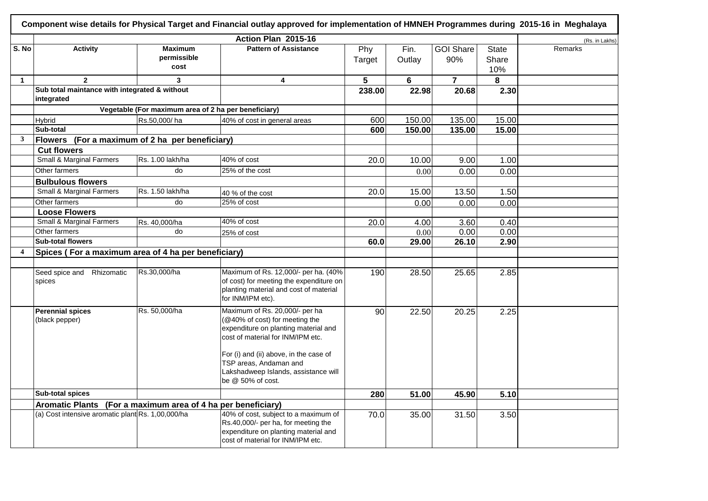|                         |                                                              |                                                      | Action Plan 2015-16                                                                                                                                                                                               |               |                |                         |                              | (Rs. in Lakhs) |
|-------------------------|--------------------------------------------------------------|------------------------------------------------------|-------------------------------------------------------------------------------------------------------------------------------------------------------------------------------------------------------------------|---------------|----------------|-------------------------|------------------------------|----------------|
| S. No                   | <b>Activity</b>                                              | <b>Maximum</b><br>permissible<br>cost                | <b>Pattern of Assistance</b>                                                                                                                                                                                      | Phy<br>Target | Fin.<br>Outlay | <b>GOI Share</b><br>90% | <b>State</b><br>Share<br>10% | Remarks        |
| $\mathbf{1}$            | $\overline{2}$                                               | 3                                                    | 4                                                                                                                                                                                                                 | 5             | 6              | $\overline{7}$          | 8                            |                |
|                         | Sub total maintance with integrated & without<br>integrated  |                                                      |                                                                                                                                                                                                                   | 238.00        | 22.98          | 20.68                   | 2.30                         |                |
|                         |                                                              | Vegetable (For maximum area of 2 ha per beneficiary) |                                                                                                                                                                                                                   |               |                |                         |                              |                |
|                         | Hybrid                                                       | Rs.50,000/ha                                         | 40% of cost in general areas                                                                                                                                                                                      | 600           | 150.00         | 135.00                  | 15.00                        |                |
|                         | Sub-total                                                    |                                                      |                                                                                                                                                                                                                   | 600           | 150.00         | 135.00                  | 15.00                        |                |
| 3                       | Flowers (For a maximum of 2 ha per beneficiary)              |                                                      |                                                                                                                                                                                                                   |               |                |                         |                              |                |
|                         | <b>Cut flowers</b>                                           |                                                      |                                                                                                                                                                                                                   |               |                |                         |                              |                |
|                         | <b>Small &amp; Marginal Farmers</b>                          | Rs. 1.00 lakh/ha                                     | 40% of cost                                                                                                                                                                                                       | 20.0          | 10.00          | 9.00                    | 1.00                         |                |
|                         | Other farmers                                                | do                                                   | 25% of the cost                                                                                                                                                                                                   |               | 0.00           | 0.00                    | 0.00                         |                |
|                         | <b>Bulbulous flowers</b>                                     |                                                      |                                                                                                                                                                                                                   |               |                |                         |                              |                |
|                         | <b>Small &amp; Marginal Farmers</b>                          | Rs. 1.50 lakh/ha                                     | 40 % of the cost                                                                                                                                                                                                  | 20.0          | 15.00          | 13.50                   | 1.50                         |                |
|                         | Other farmers                                                | do                                                   | 25% of cost                                                                                                                                                                                                       |               | 0.00           | 0.00                    | 0.00                         |                |
|                         | <b>Loose Flowers</b>                                         |                                                      |                                                                                                                                                                                                                   |               |                |                         |                              |                |
|                         | <b>Small &amp; Marginal Farmers</b>                          | Rs. 40,000/ha                                        | 40% of cost                                                                                                                                                                                                       | 20.0          | 4.00           | 3.60                    | 0.40                         |                |
|                         | Other farmers                                                | do                                                   | 25% of cost                                                                                                                                                                                                       |               | 0.00           | 0.00                    | 0.00                         |                |
|                         | <b>Sub-total flowers</b>                                     |                                                      |                                                                                                                                                                                                                   | 60.0          | 29.00          | 26.10                   | 2.90                         |                |
| $\overline{\mathbf{4}}$ | Spices (For a maximum area of 4 ha per beneficiary)          |                                                      |                                                                                                                                                                                                                   |               |                |                         |                              |                |
|                         |                                                              |                                                      |                                                                                                                                                                                                                   |               |                |                         |                              |                |
|                         | Seed spice and Rhizomatic<br>spices                          | Rs.30,000/ha                                         | Maximum of Rs. 12,000/- per ha. (40%<br>of cost) for meeting the expenditure on<br>planting material and cost of material<br>for INM/IPM etc).                                                                    | 190           | 28.50          | 25.65                   | 2.85                         |                |
|                         | <b>Perennial spices</b><br>(black pepper)                    | Rs. 50,000/ha                                        | Maximum of Rs. 20,000/- per ha<br>(@40% of cost) for meeting the<br>expenditure on planting material and<br>cost of material for INM/IPM etc.<br>For (i) and (ii) above, in the case of<br>TSP areas, Andaman and | 90            | 22.50          | 20.25                   | 2.25                         |                |
|                         |                                                              |                                                      | Lakshadweep Islands, assistance will<br>be @ 50% of cost.                                                                                                                                                         |               |                |                         |                              |                |
|                         | Sub-total spices                                             |                                                      |                                                                                                                                                                                                                   | 280           | 51.00          | 45.90                   | 5.10                         |                |
|                         | Aromatic Plants (For a maximum area of 4 ha per beneficiary) |                                                      |                                                                                                                                                                                                                   |               |                |                         |                              |                |
|                         | (a) Cost intensive aromatic plant Rs. 1,00,000/ha            |                                                      | 40% of cost, subject to a maximum of<br>Rs.40,000/- per ha, for meeting the<br>expenditure on planting material and<br>cost of material for INM/IPM etc.                                                          | 70.0          | 35.00          | 31.50                   | 3.50                         |                |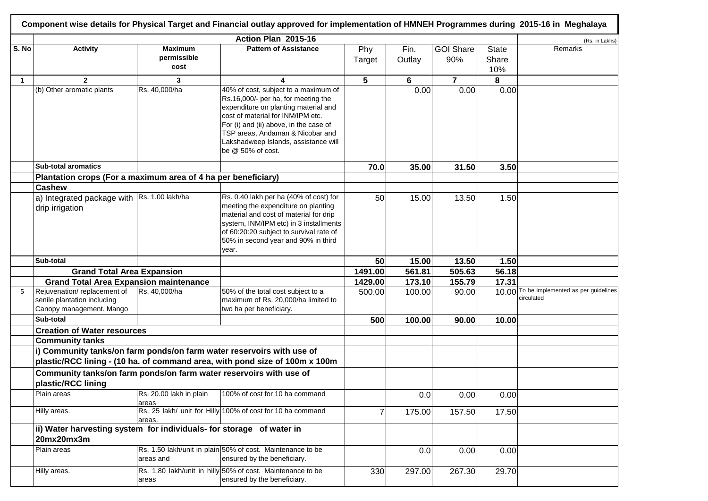|              | Component wise details for Physical Target and Financial outlay approved for implementation of HMNEH Programmes during 2015-16 in Meghalaya |                                       |                                                                                                                                                                                                                                                                                                     |               |                |                         |                              |                                                   |  |  |  |
|--------------|---------------------------------------------------------------------------------------------------------------------------------------------|---------------------------------------|-----------------------------------------------------------------------------------------------------------------------------------------------------------------------------------------------------------------------------------------------------------------------------------------------------|---------------|----------------|-------------------------|------------------------------|---------------------------------------------------|--|--|--|
|              |                                                                                                                                             |                                       | Action Plan 2015-16                                                                                                                                                                                                                                                                                 |               |                |                         |                              | (Rs. in Lakhs)                                    |  |  |  |
| S. No        | <b>Activity</b>                                                                                                                             | <b>Maximum</b><br>permissible<br>cost | <b>Pattern of Assistance</b>                                                                                                                                                                                                                                                                        | Phy<br>Target | Fin.<br>Outlay | <b>GOI Share</b><br>90% | <b>State</b><br>Share<br>10% | Remarks                                           |  |  |  |
| $\mathbf{1}$ | $\overline{2}$                                                                                                                              | 3                                     | 4                                                                                                                                                                                                                                                                                                   | 5             | 6              | $\overline{7}$          | 8                            |                                                   |  |  |  |
|              | (b) Other aromatic plants                                                                                                                   | Rs. 40,000/ha                         | 40% of cost, subject to a maximum of<br>Rs.16,000/- per ha, for meeting the<br>expenditure on planting material and<br>cost of material for INM/IPM etc.<br>For (i) and (ii) above, in the case of<br>TSP areas, Andaman & Nicobar and<br>Lakshadweep Islands, assistance will<br>be @ 50% of cost. |               | 0.00           | 0.00                    | 0.00                         |                                                   |  |  |  |
|              | <b>Sub-total aromatics</b>                                                                                                                  |                                       |                                                                                                                                                                                                                                                                                                     | 70.0          | 35.00          | 31.50                   | 3.50                         |                                                   |  |  |  |
|              | Plantation crops (For a maximum area of 4 ha per beneficiary)                                                                               |                                       |                                                                                                                                                                                                                                                                                                     |               |                |                         |                              |                                                   |  |  |  |
|              | <b>Cashew</b>                                                                                                                               |                                       |                                                                                                                                                                                                                                                                                                     |               |                |                         |                              |                                                   |  |  |  |
|              | a) Integrated package with Rs. 1.00 lakh/ha<br>drip irrigation                                                                              |                                       | Rs. 0.40 lakh per ha (40% of cost) for<br>meeting the expenditure on planting<br>material and cost of material for drip<br>system, INM/IPM etc) in 3 installments<br>of 60:20:20 subject to survival rate of<br>50% in second year and 90% in third<br>year.                                        | 50            | 15.00          | 13.50                   | 1.50                         |                                                   |  |  |  |
|              | Sub-total                                                                                                                                   |                                       |                                                                                                                                                                                                                                                                                                     | 50            | 15.00          | 13.50                   | 1.50                         |                                                   |  |  |  |
|              | <b>Grand Total Area Expansion</b>                                                                                                           |                                       |                                                                                                                                                                                                                                                                                                     | 1491.00       | 561.81         | 505.63                  | 56.18                        |                                                   |  |  |  |
|              | <b>Grand Total Area Expansion maintenance</b>                                                                                               |                                       |                                                                                                                                                                                                                                                                                                     | 1429.00       | 173.10         | 155.79                  | 17.31                        |                                                   |  |  |  |
| 5            | Rejuvenation/replacement of<br>senile plantation including<br>Canopy management. Mango                                                      | Rs. 40,000/ha                         | 50% of the total cost subject to a<br>maximum of Rs. 20,000/ha limited to<br>two ha per beneficiary.                                                                                                                                                                                                | 500.00        | 100.00         | 90.00                   | 10.00                        | To be implemented as per guidelines<br>circulated |  |  |  |
|              | Sub-total                                                                                                                                   |                                       |                                                                                                                                                                                                                                                                                                     | 500           | 100.00         | 90.00                   | 10.00                        |                                                   |  |  |  |
|              | <b>Creation of Water resources</b>                                                                                                          |                                       |                                                                                                                                                                                                                                                                                                     |               |                |                         |                              |                                                   |  |  |  |
|              | <b>Community tanks</b>                                                                                                                      |                                       |                                                                                                                                                                                                                                                                                                     |               |                |                         |                              |                                                   |  |  |  |
|              | i) Community tanks/on farm ponds/on farm water reservoirs with use of                                                                       |                                       | plastic/RCC lining - (10 ha. of command area, with pond size of 100m x 100m                                                                                                                                                                                                                         |               |                |                         |                              |                                                   |  |  |  |
|              | Community tanks/on farm ponds/on farm water reservoirs with use of<br>plastic/RCC lining                                                    |                                       |                                                                                                                                                                                                                                                                                                     |               |                |                         |                              |                                                   |  |  |  |
|              | Plain areas                                                                                                                                 | Rs. 20.00 lakh in plain<br>areas      | 100% of cost for 10 ha command                                                                                                                                                                                                                                                                      |               | 0.0            | 0.00                    | 0.00                         |                                                   |  |  |  |
|              | Hilly areas.                                                                                                                                | areas.                                | Rs. 25 lakh/ unit for Hilly 100% of cost for 10 ha command                                                                                                                                                                                                                                          | 7             | 175.00         | 157.50                  | 17.50                        |                                                   |  |  |  |
|              | ii) Water harvesting system for individuals- for storage of water in<br>20mx20mx3m                                                          |                                       |                                                                                                                                                                                                                                                                                                     |               |                |                         |                              |                                                   |  |  |  |
|              | Plain areas                                                                                                                                 | areas and                             | Rs. 1.50 lakh/unit in plain 50% of cost. Maintenance to be<br>ensured by the beneficiary.                                                                                                                                                                                                           |               | 0.0            | 0.00                    | 0.00                         |                                                   |  |  |  |
|              | Hilly areas.                                                                                                                                | areas                                 | Rs. 1.80 lakh/unit in hilly 50% of cost. Maintenance to be<br>ensured by the beneficiary.                                                                                                                                                                                                           | 330           | 297.00         | 267.30                  | 29.70                        |                                                   |  |  |  |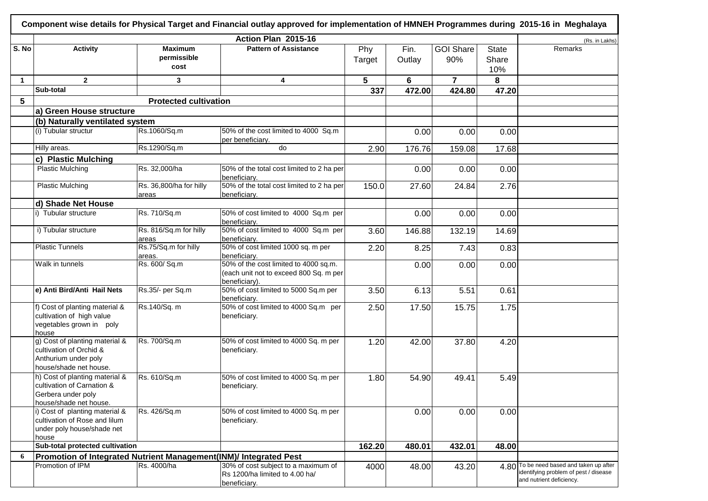| Component wise details for Physical Target and Financial outlay approved for implementation of HMNEH Programmes during 2015-16 in Meghalaya |                                                                                                              |                                       |                                                                                                  |               |                |                         |                              |                                                                                                               |
|---------------------------------------------------------------------------------------------------------------------------------------------|--------------------------------------------------------------------------------------------------------------|---------------------------------------|--------------------------------------------------------------------------------------------------|---------------|----------------|-------------------------|------------------------------|---------------------------------------------------------------------------------------------------------------|
|                                                                                                                                             |                                                                                                              |                                       | Action Plan 2015-16                                                                              |               |                |                         |                              | (Rs. in Lakhs)                                                                                                |
| S. No                                                                                                                                       | <b>Activity</b>                                                                                              | <b>Maximum</b><br>permissible<br>cost | <b>Pattern of Assistance</b>                                                                     | Phy<br>Target | Fin.<br>Outlay | <b>GOI Share</b><br>90% | <b>State</b><br>Share<br>10% | Remarks                                                                                                       |
| $\mathbf{1}$                                                                                                                                | $\mathbf{2}$                                                                                                 | 3                                     | 4                                                                                                | 5             | 6              | $\overline{7}$          | 8                            |                                                                                                               |
|                                                                                                                                             | Sub-total                                                                                                    |                                       |                                                                                                  | 337           | 472.00         | 424.80                  | 47.20                        |                                                                                                               |
| 5                                                                                                                                           |                                                                                                              | <b>Protected cultivation</b>          |                                                                                                  |               |                |                         |                              |                                                                                                               |
|                                                                                                                                             | a) Green House structure                                                                                     |                                       |                                                                                                  |               |                |                         |                              |                                                                                                               |
|                                                                                                                                             | (b) Naturally ventilated system                                                                              |                                       |                                                                                                  |               |                |                         |                              |                                                                                                               |
|                                                                                                                                             | (i) Tubular structur                                                                                         | Rs.1060/Sq.m                          | 50% of the cost limited to 4000 Sq.m<br>per beneficiary.                                         |               | 0.00           | 0.00                    | 0.00                         |                                                                                                               |
|                                                                                                                                             | Hilly areas.                                                                                                 | Rs.1290/Sq.m                          | do                                                                                               | 2.90          | 176.76         | 159.08                  | 17.68                        |                                                                                                               |
|                                                                                                                                             | c) Plastic Mulching                                                                                          |                                       |                                                                                                  |               |                |                         |                              |                                                                                                               |
|                                                                                                                                             | <b>Plastic Mulching</b>                                                                                      | Rs. 32,000/ha                         | 50% of the total cost limited to 2 ha per<br>beneficiary.                                        |               | 0.00           | 0.00                    | 0.00                         |                                                                                                               |
|                                                                                                                                             | <b>Plastic Mulching</b>                                                                                      | Rs. 36,800/ha for hilly<br>areas      | 50% of the total cost limited to 2 ha per<br>beneficiary.                                        | 150.0         | 27.60          | 24.84                   | 2.76                         |                                                                                                               |
|                                                                                                                                             | d) Shade Net House                                                                                           |                                       |                                                                                                  |               |                |                         |                              |                                                                                                               |
|                                                                                                                                             | i) Tubular structure                                                                                         | Rs. 710/Sq.m                          | 50% of cost limited to 4000 Sq.m per<br>beneficiary.                                             |               | 0.00           | 0.00                    | 0.00                         |                                                                                                               |
|                                                                                                                                             | i) Tubular structure                                                                                         | Rs. 816/Sq.m for hilly<br>areas       | 50% of cost limited to 4000 Sq.m per<br>beneficiary.                                             | 3.60          | 146.88         | 132.19                  | 14.69                        |                                                                                                               |
|                                                                                                                                             | Plastic Tunnels                                                                                              | Rs.75/Sq.m for hilly<br>areas.        | 50% of cost limited 1000 sq. m per<br>beneficiary.                                               | 2.20          | 8.25           | 7.43                    | 0.83                         |                                                                                                               |
|                                                                                                                                             | Walk in tunnels                                                                                              | Rs. 600/ Sq.m                         | 50% of the cost limited to 4000 sq.m.<br>(each unit not to exceed 800 Sq. m per<br>beneficiary). |               | 0.00           | 0.00                    | 0.00                         |                                                                                                               |
|                                                                                                                                             | e) Anti Bird/Anti Hail Nets                                                                                  | Rs.35/- per Sq.m                      | 50% of cost limited to 5000 Sq.m per<br>beneficiary.                                             | 3.50          | 6.13           | 5.51                    | 0.61                         |                                                                                                               |
|                                                                                                                                             | f) Cost of planting material &<br>cultivation of high value<br>vegetables grown in poly<br>house             | Rs.140/Sq. m                          | 50% of cost limited to 4000 Sq.m per<br>beneficiary.                                             | 2.50          | 17.50          | 15.75                   | 1.75                         |                                                                                                               |
|                                                                                                                                             | g) Cost of planting material &<br>cultivation of Orchid &<br>Anthurium under poly<br>house/shade net house.  | Rs. 700/Sq.m                          | 50% of cost limited to 4000 Sq. m per<br>beneficiary.                                            | 1.20          | 42.00          | 37.80                   | 4.20                         |                                                                                                               |
|                                                                                                                                             | h) Cost of planting material &<br>cultivation of Carnation &<br>Gerbera under poly<br>house/shade net house. | Rs. 610/Sq.m                          | 50% of cost limited to 4000 Sq. m per<br>beneficiary.                                            | 1.80          | 54.90          | 49.41                   | 5.49                         |                                                                                                               |
|                                                                                                                                             | i) Cost of planting material &<br>cultivation of Rose and lilum<br>under poly house/shade net<br>house       | Rs. 426/Sq.m                          | 50% of cost limited to 4000 Sq. m per<br>beneficiary.                                            |               | 0.00           | 0.00                    | 0.00                         |                                                                                                               |
|                                                                                                                                             | Sub-total protected cultivation                                                                              |                                       |                                                                                                  | 162.20        | 480.01         | 432.01                  | 48.00                        |                                                                                                               |
| 6                                                                                                                                           | Promotion of Integrated Nutrient Management(INM)/ Integrated Pest                                            |                                       |                                                                                                  |               |                |                         |                              |                                                                                                               |
|                                                                                                                                             | Promotion of IPM                                                                                             | Rs. 4000/ha                           | 30% of cost subject to a maximum of<br>Rs 1200/ha limited to 4.00 ha/<br>beneficiary.            | 4000          | 48.00          | 43.20                   |                              | 4.80 To be need based and taken up after<br>identifying problem of pest / disease<br>and nutrient deficiency. |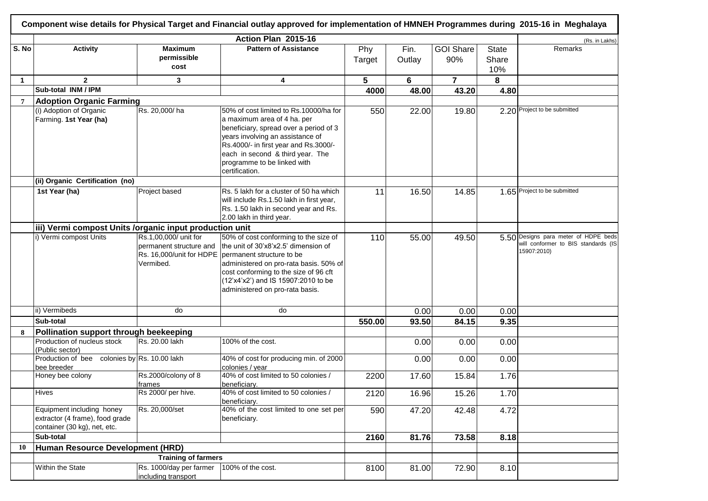|                |                                                                                              |                                                               | Action Plan 2015-16                                                                                                                                                                                                                                                                                |               |                |                         |                              | (Rs. in Lakhs)                                                                             |
|----------------|----------------------------------------------------------------------------------------------|---------------------------------------------------------------|----------------------------------------------------------------------------------------------------------------------------------------------------------------------------------------------------------------------------------------------------------------------------------------------------|---------------|----------------|-------------------------|------------------------------|--------------------------------------------------------------------------------------------|
| S. No          | <b>Activity</b>                                                                              | <b>Maximum</b><br>permissible<br>cost                         | <b>Pattern of Assistance</b>                                                                                                                                                                                                                                                                       | Phy<br>Target | Fin.<br>Outlay | <b>GOI Share</b><br>90% | <b>State</b><br>Share<br>10% | Remarks                                                                                    |
| $\mathbf 1$    | $\mathbf{2}$                                                                                 | 3                                                             | 4                                                                                                                                                                                                                                                                                                  | 5             | 6              | $\overline{7}$          | 8                            |                                                                                            |
|                | Sub-total INM / IPM                                                                          |                                                               |                                                                                                                                                                                                                                                                                                    | 4000          | 48.00          | 43.20                   | 4.80                         |                                                                                            |
| $\overline{7}$ | <b>Adoption Organic Farming</b>                                                              |                                                               |                                                                                                                                                                                                                                                                                                    |               |                |                         |                              |                                                                                            |
|                | (i) Adoption of Organic<br>Farming. 1st Year (ha)                                            | Rs. 20,000/ha                                                 | 50% of cost limited to Rs.10000/ha for<br>a maximum area of 4 ha. per<br>beneficiary, spread over a period of 3<br>years involving an assistance of<br>Rs.4000/- in first year and Rs.3000/-<br>each in second & third year. The<br>programme to be linked with<br>certification.                  | 550           | 22.00          | 19.80                   |                              | 2.20 Project to be submitted                                                               |
|                | (ii) Organic Certification (no)                                                              |                                                               |                                                                                                                                                                                                                                                                                                    |               |                |                         |                              |                                                                                            |
|                | 1st Year (ha)                                                                                | Project based                                                 | Rs. 5 lakh for a cluster of 50 ha which<br>will include Rs.1.50 lakh in first year,<br>Rs. 1.50 lakh in second year and Rs.<br>2.00 lakh in third year.                                                                                                                                            | 11            | 16.50          | 14.85                   |                              | 1.65 Project to be submitted                                                               |
|                | iii) Vermi compost Units /organic input production unit                                      |                                                               |                                                                                                                                                                                                                                                                                                    |               |                |                         |                              |                                                                                            |
|                | i) Vermi compost Units                                                                       | Rs.1,00,000/ unit for<br>permanent structure and<br>Vermibed. | 50% of cost conforming to the size of<br>the unit of 30'x8'x2.5' dimension of<br>Rs. 16,000/unit for HDPE   permanent structure to be<br>administered on pro-rata basis. 50% of<br>cost conforming to the size of 96 cft<br>(12'x4'x2') and IS 15907:2010 to be<br>administered on pro-rata basis. | 110           | 55.00          | 49.50                   |                              | 5.50 Designs para meter of HDPE beds<br>will conformer to BIS standards (IS<br>15907:2010) |
|                | ii) Vermibeds                                                                                | do                                                            | do                                                                                                                                                                                                                                                                                                 |               | 0.00           | 0.00                    | 0.00                         |                                                                                            |
|                | Sub-total                                                                                    |                                                               |                                                                                                                                                                                                                                                                                                    | 550.00        | 93.50          | 84.15                   | 9.35                         |                                                                                            |
| 8              | Pollination support through beekeeping                                                       |                                                               |                                                                                                                                                                                                                                                                                                    |               |                |                         |                              |                                                                                            |
|                | Production of nucleus stock<br>(Public sector)                                               | Rs. 20.00 lakh                                                | 100% of the cost.                                                                                                                                                                                                                                                                                  |               | 0.00           | 0.00                    | 0.00                         |                                                                                            |
|                | Production of bee colonies by Rs. 10.00 lakh<br>bee breeder                                  |                                                               | 40% of cost for producing min. of 2000<br>colonies / year                                                                                                                                                                                                                                          |               | 0.00           | 0.00                    | 0.00                         |                                                                                            |
|                | Honey bee colony                                                                             | Rs.2000/colony of 8<br>frames                                 | 40% of cost limited to 50 colonies /<br>beneficiary.                                                                                                                                                                                                                                               | 2200          | 17.60          | 15.84                   | 1.76                         |                                                                                            |
|                | <b>Hives</b>                                                                                 | Rs 2000/ per hive.                                            | 40% of cost limited to 50 colonies /<br>beneficiary.                                                                                                                                                                                                                                               | 2120          | 16.96          | 15.26                   | 1.70                         |                                                                                            |
|                | Equipment including honey<br>extractor (4 frame), food grade<br>container (30 kg), net, etc. | Rs. 20,000/set                                                | 40% of the cost limited to one set per<br>beneficiary.                                                                                                                                                                                                                                             | 590           | 47.20          | 42.48                   | 4.72                         |                                                                                            |
|                | Sub-total                                                                                    |                                                               |                                                                                                                                                                                                                                                                                                    | 2160          | 81.76          | 73.58                   | 8.18                         |                                                                                            |
| 10             | Human Resource Development (HRD)                                                             |                                                               |                                                                                                                                                                                                                                                                                                    |               |                |                         |                              |                                                                                            |
|                | Within the State                                                                             | <b>Training of farmers</b><br>Rs. 1000/day per farmer         |                                                                                                                                                                                                                                                                                                    |               |                |                         |                              |                                                                                            |
|                |                                                                                              | including transport                                           | 100% of the cost.                                                                                                                                                                                                                                                                                  | 8100          | 81.00          | 72.90                   | 8.10                         |                                                                                            |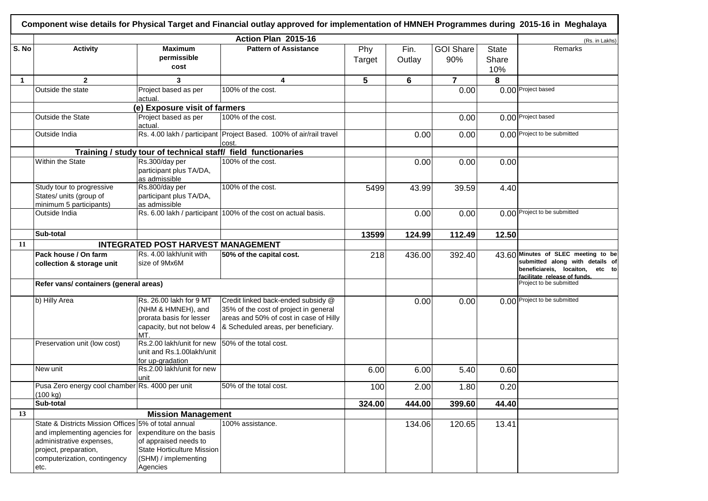| Component wise details for Physical Target and Financial outlay approved for implementation of HMNEH Programmes during 2015-16 in Meghalaya |                                                                                                                                                                                                                                                                                                                                                                                                                                                        |                                                                                                                                                                                                                                   |                                                                                                                                                                                                                                                                                                                                                                                                                                                                                                |                |                                            |                              |                                                                                                                                              |  |  |
|---------------------------------------------------------------------------------------------------------------------------------------------|--------------------------------------------------------------------------------------------------------------------------------------------------------------------------------------------------------------------------------------------------------------------------------------------------------------------------------------------------------------------------------------------------------------------------------------------------------|-----------------------------------------------------------------------------------------------------------------------------------------------------------------------------------------------------------------------------------|------------------------------------------------------------------------------------------------------------------------------------------------------------------------------------------------------------------------------------------------------------------------------------------------------------------------------------------------------------------------------------------------------------------------------------------------------------------------------------------------|----------------|--------------------------------------------|------------------------------|----------------------------------------------------------------------------------------------------------------------------------------------|--|--|
| <b>Activity</b>                                                                                                                             | <b>Maximum</b><br>permissible<br>cost                                                                                                                                                                                                                                                                                                                                                                                                                  | <b>Pattern of Assistance</b>                                                                                                                                                                                                      | Phy<br>Target                                                                                                                                                                                                                                                                                                                                                                                                                                                                                  | Fin.<br>Outlay | <b>GOI Share</b><br>90%                    | <b>State</b><br>Share<br>10% | (Rs. in Lakhs)<br>Remarks                                                                                                                    |  |  |
| $\overline{2}$                                                                                                                              | 3                                                                                                                                                                                                                                                                                                                                                                                                                                                      | $\overline{\mathbf{4}}$                                                                                                                                                                                                           | 5                                                                                                                                                                                                                                                                                                                                                                                                                                                                                              | 6              | $\overline{7}$                             | 8                            |                                                                                                                                              |  |  |
|                                                                                                                                             | Project based as per<br>actual.                                                                                                                                                                                                                                                                                                                                                                                                                        | 100% of the cost.                                                                                                                                                                                                                 |                                                                                                                                                                                                                                                                                                                                                                                                                                                                                                |                | 0.00                                       |                              | 0.00 Project based                                                                                                                           |  |  |
|                                                                                                                                             |                                                                                                                                                                                                                                                                                                                                                                                                                                                        |                                                                                                                                                                                                                                   |                                                                                                                                                                                                                                                                                                                                                                                                                                                                                                |                |                                            |                              |                                                                                                                                              |  |  |
|                                                                                                                                             | actual.                                                                                                                                                                                                                                                                                                                                                                                                                                                |                                                                                                                                                                                                                                   |                                                                                                                                                                                                                                                                                                                                                                                                                                                                                                |                | 0.00                                       |                              | 0.00 Project based                                                                                                                           |  |  |
|                                                                                                                                             |                                                                                                                                                                                                                                                                                                                                                                                                                                                        | cost                                                                                                                                                                                                                              |                                                                                                                                                                                                                                                                                                                                                                                                                                                                                                |                | 0.00                                       |                              | 0.00 Project to be submitted                                                                                                                 |  |  |
|                                                                                                                                             |                                                                                                                                                                                                                                                                                                                                                                                                                                                        |                                                                                                                                                                                                                                   |                                                                                                                                                                                                                                                                                                                                                                                                                                                                                                |                |                                            |                              |                                                                                                                                              |  |  |
|                                                                                                                                             | Rs.300/day per<br>participant plus TA/DA,                                                                                                                                                                                                                                                                                                                                                                                                              | 100% of the cost.                                                                                                                                                                                                                 |                                                                                                                                                                                                                                                                                                                                                                                                                                                                                                | 0.00           | 0.00                                       | 0.00                         |                                                                                                                                              |  |  |
|                                                                                                                                             | Rs.800/day per<br>participant plus TA/DA,<br>as admissible                                                                                                                                                                                                                                                                                                                                                                                             | 100% of the cost.                                                                                                                                                                                                                 | 5499                                                                                                                                                                                                                                                                                                                                                                                                                                                                                           | 43.99          | 39.59                                      |                              |                                                                                                                                              |  |  |
| Outside India                                                                                                                               |                                                                                                                                                                                                                                                                                                                                                                                                                                                        |                                                                                                                                                                                                                                   |                                                                                                                                                                                                                                                                                                                                                                                                                                                                                                |                | 0.00                                       |                              | 0.00 Project to be submitted                                                                                                                 |  |  |
|                                                                                                                                             |                                                                                                                                                                                                                                                                                                                                                                                                                                                        |                                                                                                                                                                                                                                   |                                                                                                                                                                                                                                                                                                                                                                                                                                                                                                |                |                                            |                              |                                                                                                                                              |  |  |
|                                                                                                                                             |                                                                                                                                                                                                                                                                                                                                                                                                                                                        |                                                                                                                                                                                                                                   |                                                                                                                                                                                                                                                                                                                                                                                                                                                                                                |                |                                            |                              |                                                                                                                                              |  |  |
|                                                                                                                                             | Rs. 4.00 lakh/unit with<br>size of 9Mx6M                                                                                                                                                                                                                                                                                                                                                                                                               |                                                                                                                                                                                                                                   | 218                                                                                                                                                                                                                                                                                                                                                                                                                                                                                            |                | 392.40                                     |                              | 43.60 Minutes of SLEC meeting to be<br>submitted along with details of<br>beneficiareis, locaiton,<br>etc to<br>facilitate release of funds. |  |  |
|                                                                                                                                             |                                                                                                                                                                                                                                                                                                                                                                                                                                                        |                                                                                                                                                                                                                                   |                                                                                                                                                                                                                                                                                                                                                                                                                                                                                                |                |                                            |                              | Project to be submitted                                                                                                                      |  |  |
|                                                                                                                                             | Rs. 26.00 lakh for 9 MT<br>(NHM & HMNEH), and<br>prorata basis for lesser<br>capacity, but not below 4                                                                                                                                                                                                                                                                                                                                                 | 35% of the cost of project in general<br>areas and 50% of cost in case of Hilly                                                                                                                                                   |                                                                                                                                                                                                                                                                                                                                                                                                                                                                                                | 0.00           | 0.00                                       |                              | 0.00 Project to be submitted                                                                                                                 |  |  |
|                                                                                                                                             | Rs.2.00 lakh/unit for new<br>unit and Rs.1.00lakh/unit                                                                                                                                                                                                                                                                                                                                                                                                 |                                                                                                                                                                                                                                   |                                                                                                                                                                                                                                                                                                                                                                                                                                                                                                |                |                                            |                              |                                                                                                                                              |  |  |
| New unit                                                                                                                                    | Rs.2.00 lakh/unit for new<br>unit                                                                                                                                                                                                                                                                                                                                                                                                                      |                                                                                                                                                                                                                                   | 6.00                                                                                                                                                                                                                                                                                                                                                                                                                                                                                           | 6.00           | 5.40                                       |                              |                                                                                                                                              |  |  |
|                                                                                                                                             |                                                                                                                                                                                                                                                                                                                                                                                                                                                        | 50% of the total cost.                                                                                                                                                                                                            | 100                                                                                                                                                                                                                                                                                                                                                                                                                                                                                            | 2.00           | 1.80                                       |                              |                                                                                                                                              |  |  |
|                                                                                                                                             |                                                                                                                                                                                                                                                                                                                                                                                                                                                        |                                                                                                                                                                                                                                   | 324.00                                                                                                                                                                                                                                                                                                                                                                                                                                                                                         |                | 399.60                                     |                              |                                                                                                                                              |  |  |
|                                                                                                                                             |                                                                                                                                                                                                                                                                                                                                                                                                                                                        |                                                                                                                                                                                                                                   |                                                                                                                                                                                                                                                                                                                                                                                                                                                                                                |                |                                            |                              |                                                                                                                                              |  |  |
|                                                                                                                                             | expenditure on the basis<br>of appraised needs to<br>State Horticulture Mission<br>(SHM) / implementing                                                                                                                                                                                                                                                                                                                                                | 100% assistance.                                                                                                                                                                                                                  |                                                                                                                                                                                                                                                                                                                                                                                                                                                                                                |                | 120.65                                     | 13.41                        |                                                                                                                                              |  |  |
|                                                                                                                                             | Outside the state<br><b>Outside the State</b><br>Outside India<br>Within the State<br>Study tour to progressive<br>States/ units (group of<br>minimum 5 participants)<br>Sub-total<br><b>Pack house / On farm</b><br>collection & storage unit<br>b) Hilly Area<br>Preservation unit (low cost)<br>(100 kg)<br>Sub-total<br>and implementing agencies for<br>administrative expenses,<br>project, preparation,<br>computerization, contingency<br>etc. | Project based as per<br>as admissible<br>Refer vans/ containers (general areas)<br>MT.<br>for up-gradation<br>Pusa Zero energy cool chamber Rs. 4000 per unit<br>State & Districts Mission Offices 5% of total annual<br>Agencies | Action Plan 2015-16<br>(e) Exposure visit of farmers<br>100% of the cost.<br>Rs. 4.00 lakh / participant Project Based. 100% of air/rail travel<br>Training / study tour of technical staff/ field functionaries<br>Rs. 6.00 lakh / participant 100% of the cost on actual basis.<br><b>INTEGRATED POST HARVEST MANAGEMENT</b><br>50% of the capital cost.<br>Credit linked back-ended subsidy @<br>& Scheduled areas, per beneficiary.<br>50% of the total cost.<br><b>Mission Management</b> | 13599          | 0.00<br>0.00<br>124.99<br>436.00<br>444.00 | 112.49<br>134.06             | 4.40<br>12.50<br>0.60<br>0.20<br>44.40                                                                                                       |  |  |